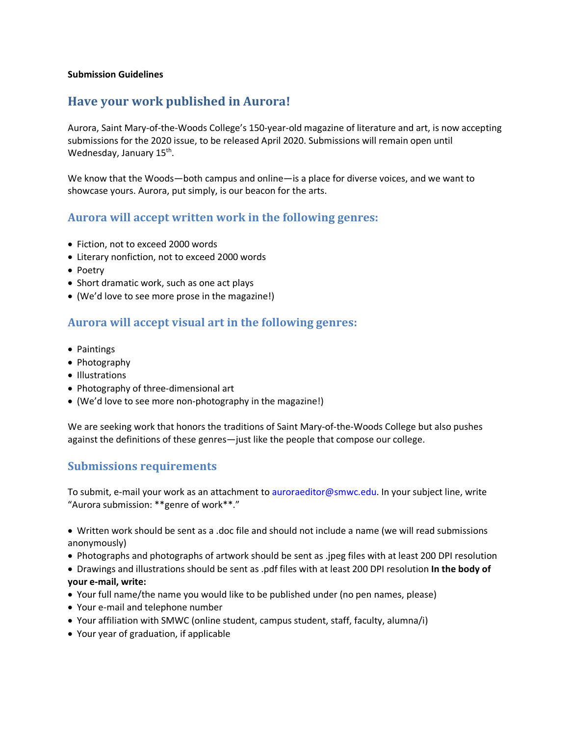#### **Submission Guidelines**

# **Have your work published in Aurora!**

Aurora, Saint Mary-of-the-Woods College's 150-year-old magazine of literature and art, is now accepting submissions for the 2020 issue, to be released April 2020. Submissions will remain open until Wednesday, January 15<sup>th</sup>.

We know that the Woods—both campus and online—is a place for diverse voices, and we want to showcase yours. Aurora, put simply, is our beacon for the arts.

## Aurora will accept written work in the following genres:

- Fiction, not to exceed 2000 words
- Literary nonfiction, not to exceed 2000 words
- Poetry
- Short dramatic work, such as one act plays
- (We'd love to see more prose in the magazine!)

#### Aurora will accept visual art in the following genres:

- Paintings
- Photography
- Illustrations
- Photography of three-dimensional art
- (We'd love to see more non-photography in the magazine!)

We are seeking work that honors the traditions of Saint Mary-of-the-Woods College but also pushes against the definitions of these genres—just like the people that compose our college.

## **Submissions requirements**

To submit, e-mail your work as an attachment to auroraeditor@smwc.edu. In your subject line, write "Aurora submission: \*\*genre of work\*\*."

• Written work should be sent as a .doc file and should not include a name (we will read submissions anonymously)

• Photographs and photographs of artwork should be sent as .jpeg files with at least 200 DPI resolution

• Drawings and illustrations should be sent as .pdf files with at least 200 DPI resolution **In the body of your e-mail, write:** 

- Your full name/the name you would like to be published under (no pen names, please)
- Your e-mail and telephone number
- Your affiliation with SMWC (online student, campus student, staff, faculty, alumna/i)
- Your year of graduation, if applicable